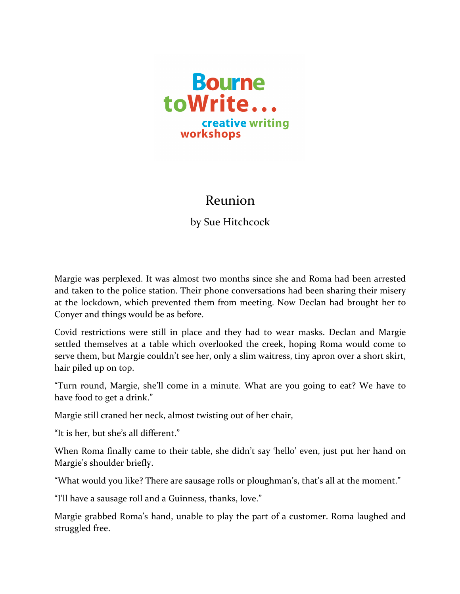

## Reunion

by Sue Hitchcock

Margie was perplexed. It was almost two months since she and Roma had been arrested and taken to the police station. Their phone conversations had been sharing their misery at the lockdown, which prevented them from meeting. Now Declan had brought her to Conyer and things would be as before.

Covid restrictions were still in place and they had to wear masks. Declan and Margie settled themselves at a table which overlooked the creek, hoping Roma would come to serve them, but Margie couldn't see her, only a slim waitress, tiny apron over a short skirt, hair piled up on top.

"Turn round, Margie, she'll come in a minute. What are you going to eat? We have to have food to get a drink."

Margie still craned her neck, almost twisting out of her chair,

"It is her, but she's all different."

When Roma finally came to their table, she didn't say 'hello' even, just put her hand on Margie's shoulder briefly.

"What would you like? There are sausage rolls or ploughman's, that's all at the moment."

"I'll have a sausage roll and a Guinness, thanks, love."

Margie grabbed Roma's hand, unable to play the part of a customer. Roma laughed and struggled free.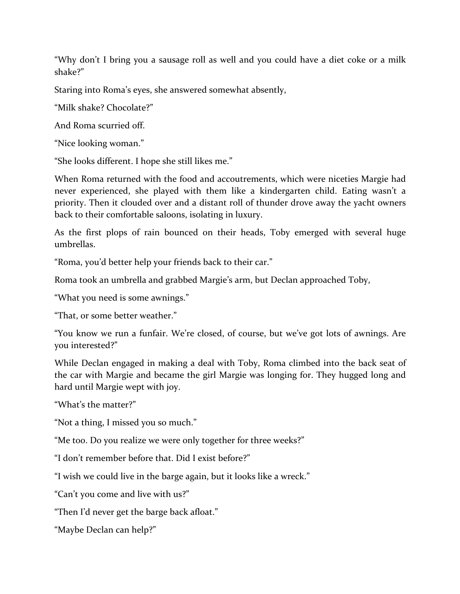"Why don't I bring you a sausage roll as well and you could have a diet coke or a milk shake?"

Staring into Roma's eyes, she answered somewhat absently,

"Milk shake? Chocolate?"

And Roma scurried off.

"Nice looking woman."

"She looks different. I hope she still likes me."

When Roma returned with the food and accoutrements, which were niceties Margie had never experienced, she played with them like a kindergarten child. Eating wasn't a priority. Then it clouded over and a distant roll of thunder drove away the yacht owners back to their comfortable saloons, isolating in luxury.

As the first plops of rain bounced on their heads, Toby emerged with several huge umbrellas.

"Roma, you'd better help your friends back to their car."

Roma took an umbrella and grabbed Margie's arm, but Declan approached Toby,

"What you need is some awnings."

"That, or some better weather."

"You know we run a funfair. We're closed, of course, but we've got lots of awnings. Are you interested?"

While Declan engaged in making a deal with Toby, Roma climbed into the back seat of the car with Margie and became the girl Margie was longing for. They hugged long and hard until Margie wept with joy.

"What's the matter?"

"Not a thing, I missed you so much."

"Me too. Do you realize we were only together for three weeks?"

"I don't remember before that. Did I exist before?"

"I wish we could live in the barge again, but it looks like a wreck."

"Can't you come and live with us?"

"Then I'd never get the barge back afloat."

"Maybe Declan can help?"